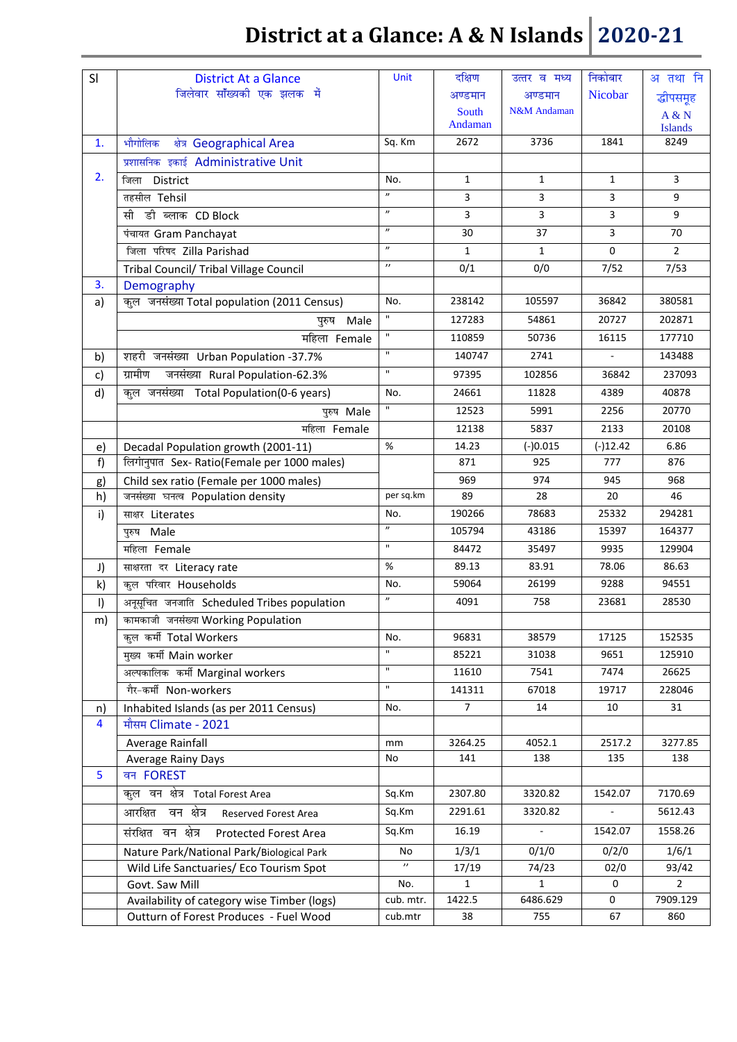|              |                                                            | <b>Unit</b>                 |                  |                                   |              |                         |
|--------------|------------------------------------------------------------|-----------------------------|------------------|-----------------------------------|--------------|-------------------------|
| SI           | <b>District At a Glance</b><br>जिलेवार सॉंख्यकी एक झलक में |                             | दक्षिण           | उत्तर व मध्य                      | निकोबार      | अ तथा नि                |
|              |                                                            |                             | अण्डमान          | अण्डमान<br><b>N&amp;M</b> Andaman | Nicobar      | द्धीपसमूह               |
|              |                                                            |                             | South<br>Andaman |                                   |              | A & N<br><b>Islands</b> |
| 1.           | भौगोलिक<br>क्षेत्र Geographical Area                       | Sq. Km                      | 2672             | 3736                              | 1841         | 8249                    |
|              | प्रशासनिक इकाई Administrative Unit                         |                             |                  |                                   |              |                         |
| 2.           | District<br>जिला                                           | No.                         | $\mathbf{1}$     | $\mathbf{1}$                      | $\mathbf{1}$ | 3                       |
|              | तहसील Tehsil                                               | $\boldsymbol{\prime\prime}$ | 3                | 3                                 | 3            | 9                       |
|              | सी डी ब्लाक CD Block                                       | $\boldsymbol{\prime\prime}$ | 3                | 3                                 | 3            | 9                       |
|              | पंचायत Gram Panchayat                                      | $\boldsymbol{\prime\prime}$ | 30               | 37                                | 3            | 70                      |
|              | जिला परिषद Zilla Parishad                                  | $\overline{\phantom{a}}$    | 1                | 1                                 | 0            | $\overline{2}$          |
|              | Tribal Council/ Tribal Village Council                     | $^{\prime\prime}$           | 0/1              | 0/0                               | 7/52         | 7/53                    |
| 3.           | Demography                                                 |                             |                  |                                   |              |                         |
| a)           | कुल जनसंख्या Total population (2011 Census)                | No.                         | 238142           | 105597                            | 36842        | 380581                  |
|              | पुरुष Male                                                 | $\mathbf{H}$                | 127283           | 54861                             | 20727        | 202871                  |
|              | महिला Female                                               | $\mathbf{H}$                | 110859           | 50736                             | 16115        | 177710                  |
| b)           | शहरी जनसंख्या Urban Population -37.7%                      | $\mathbf{H}$                | 140747           | 2741                              |              | 143488                  |
| $\mathsf{c}$ | ग्रामीण<br>जनसंख्या Rural Population-62.3%                 | $\mathbf{u}$                | 97395            | 102856                            | 36842        | 237093                  |
| d)           | कुल जनसंख्या Total Population(0-6 years)                   | No.                         | 24661            | 11828                             | 4389         | 40878                   |
|              | पुरुष Male                                                 | $\mathbf{H}$                | 12523            | 5991                              | 2256         | 20770                   |
|              | महिला Female                                               |                             | 12138            | 5837                              | 2133         | 20108                   |
| e)           | Decadal Population growth (2001-11)                        | %                           | 14.23            | $(-)0.015$                        | $(-)12.42$   | 6.86                    |
| f)           | लिगानुपात Sex- Ratio(Female per 1000 males)                |                             | 871              | 925                               | 777          | 876                     |
| g)           | Child sex ratio (Female per 1000 males)                    |                             | 969              | 974                               | 945          | 968                     |
| h)           | जनसंख्या घनत्व Population density                          | per sq.km                   | 89               | 28                                | 20           | 46                      |
| i)           | साक्षर Literates                                           | No.                         | 190266           | 78683                             | 25332        | 294281                  |
|              | पुरुष Male                                                 | $\boldsymbol{\prime\prime}$ | 105794           | 43186                             | 15397        | 164377                  |
|              | महिला Female                                               | $\mathbf{u}$                | 84472            | 35497                             | 9935         | 129904                  |
| J)           | साक्षरता दर Literacy rate                                  | %                           | 89.13            | 83.91                             | 78.06        | 86.63                   |
| k)           | कुल परिवार Households                                      | No.                         | 59064            | 26199                             | 9288         | 94551                   |
| $\vert$      | अनूसूचित जनजाति Scheduled Tribes population                | $\boldsymbol{\prime\prime}$ | 4091             | 758                               | 23681        | 28530                   |
| m)           | कामकाजी जनसंख्या Working Population                        |                             |                  |                                   |              |                         |
|              | कुल कर्मी Total Workers                                    | No.                         | 96831            | 38579                             | 17125        | 152535                  |
|              | मुख्य कर्मी Main worker                                    | $\mathbf{u}$                | 85221            | 31038                             | 9651         | 125910                  |
|              | अल्पकालिक कर्मी Marginal workers                           | $\mathbf{H}$                | 11610            | 7541                              | 7474         | 26625                   |
|              | गैर-कर्मी Non-workers                                      | $\mathbf{H}$                | 141311           | 67018                             | 19717        | 228046                  |
| n)           | Inhabited Islands (as per 2011 Census)                     | No.                         | $\overline{7}$   | 14                                | 10           | 31                      |
| 4            | मौसम Climate - 2021                                        |                             |                  |                                   |              |                         |
|              | Average Rainfall                                           | mm                          | 3264.25          | 4052.1                            | 2517.2       | 3277.85                 |
|              | Average Rainy Days                                         | No                          | 141              | 138                               | 135          | 138                     |
| 5            | वन FOREST                                                  |                             |                  |                                   |              |                         |
|              | कुल वन क्षेत्र Total Forest Area                           | Sq.Km                       | 2307.80          | 3320.82                           | 1542.07      | 7170.69                 |
|              | आरक्षित वन क्षेत्र<br>Reserved Forest Area                 | Sq.Km                       | 2291.61          | 3320.82                           |              | 5612.43                 |
|              | संरक्षित वन क्षेत्र<br>Protected Forest Area               | Sq.Km                       | 16.19            |                                   | 1542.07      | 1558.26                 |
|              | Nature Park/National Park/Biological Park                  | No                          | 1/3/1            | 0/1/0                             | 0/2/0        | 1/6/1                   |
|              | Wild Life Sanctuaries/ Eco Tourism Spot                    |                             | 17/19            | 74/23                             | 02/0         | 93/42                   |
|              | Govt. Saw Mill                                             | No.                         | $\mathbf{1}$     | $\mathbf{1}$                      | $\mathbf 0$  | $\overline{2}$          |
|              | Availability of category wise Timber (logs)                | cub. mtr.                   | 1422.5           | 6486.629                          | $\mathbf{0}$ | 7909.129                |
|              | Outturn of Forest Produces - Fuel Wood                     | cub.mtr                     | 38               | 755                               | 67           | 860                     |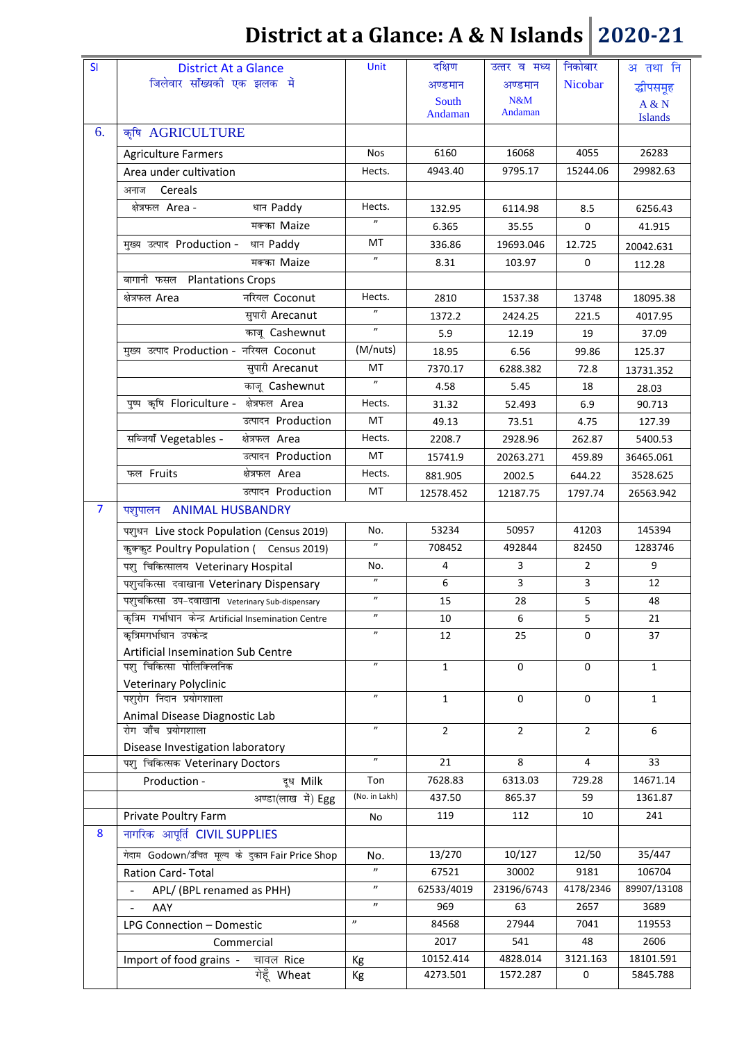| SI             | <b>District At a Glance</b>                             | <b>Unit</b>                 | दक्षिण         | उत्तर व मध्य | निकोबार        | अ तथा नि       |
|----------------|---------------------------------------------------------|-----------------------------|----------------|--------------|----------------|----------------|
|                | जिलेवार सॉंख्यकी एक झलक में                             |                             | अण्डमान        | अण्डमान      | Nicobar        | द्धीपसमूह      |
|                |                                                         |                             | South          | N&M          |                | A & N          |
|                |                                                         |                             | Andaman        | Andaman      |                | <b>Islands</b> |
| 6.             | कृषि AGRICULTURE                                        |                             |                |              |                |                |
|                | <b>Agriculture Farmers</b>                              | <b>Nos</b>                  | 6160           | 16068        | 4055           | 26283          |
|                | Area under cultivation                                  | Hects.                      | 4943.40        | 9795.17      | 15244.06       | 29982.63       |
|                | Cereals<br>अनाज                                         |                             |                |              |                |                |
|                | क्षेत्रफल Area -<br>धान Paddy                           | Hects.                      | 132.95         | 6114.98      | 8.5            | 6256.43        |
|                | मक्का Maize                                             | $^{\prime\prime}$           | 6.365          | 35.55        | 0              | 41.915         |
|                | मुख्य उत्पाद Production -<br>धान Paddy                  | МT                          | 336.86         | 19693.046    | 12.725         | 20042.631      |
|                | मक्का Maize                                             | $^{\prime\prime}$           | 8.31           | 103.97       | 0              | 112.28         |
|                | बागानी फसल<br><b>Plantations Crops</b>                  |                             |                |              |                |                |
|                | नरियल Coconut<br>क्षेत्रफल Area                         | Hects.                      | 2810           | 1537.38      | 13748          | 18095.38       |
|                | सुपारी Arecanut                                         |                             | 1372.2         | 2424.25      | 221.5          | 4017.95        |
|                | काजू Cashewnut                                          | $^{\prime\prime}$           | 5.9            | 12.19        | 19             | 37.09          |
|                | मुख्य उत्पाद Production - नरियल Coconut                 | (M/nuts)                    | 18.95          | 6.56         | 99.86          | 125.37         |
|                | सुपारी Arecanut                                         | МT                          | 7370.17        | 6288.382     | 72.8           | 13731.352      |
|                | काजू Cashewnut                                          | $\boldsymbol{\prime\prime}$ | 4.58           | 5.45         | 18             | 28.03          |
|                | पुष्प कृषि Floriculture - क्षेत्रफल Area                | Hects.                      | 31.32          | 52.493       | 6.9            | 90.713         |
|                | उत्पादन Production                                      | MT                          | 49.13          | 73.51        | 4.75           | 127.39         |
|                | सब्जियाँ Vegetables -<br>क्षेत्रफल Area                 | Hects.                      | 2208.7         | 2928.96      | 262.87         | 5400.53        |
|                | उत्पादन Production                                      | MT                          |                |              |                |                |
|                |                                                         |                             | 15741.9        | 20263.271    | 459.89         | 36465.061      |
|                | फल Fruits<br>क्षेत्रफल Area                             | Hects.                      | 881.905        | 2002.5       | 644.22         | 3528.625       |
|                | उत्पादन Production                                      | МT                          | 12578.452      | 12187.75     | 1797.74        | 26563.942      |
| $\overline{7}$ | <b>ANIMAL HUSBANDRY</b><br>पशुपालन                      |                             |                |              |                |                |
|                | पशुधन Live stock Population (Census 2019)               | No.                         | 53234          | 50957        | 41203          | 145394         |
|                | कुक्कुट Poultry Population ( Census 2019)               | $^{\prime\prime}$           | 708452         | 492844       | 82450          | 1283746        |
|                | पशु चिकित्सालय Veterinary Hospital                      | No.                         | 4              | 3            | $\overline{2}$ | 9              |
|                | पशुचकित्सा दवाखाना Veterinary Dispensary                | $^{\prime\prime}$           | 6              | 3            | 3              | 12             |
|                | पशुचकित्सा उप-दवाखाना Veterinary Sub-dispensary         | $\boldsymbol{\prime\prime}$ | 15             | 28           | 5              | 48             |
|                | कृत्रिम गर्भाधान केन्द्र Artificial Insemination Centre | $^{\prime\prime}$           | 10             | 6            | 5              | 21             |
|                | कृत्रिमगर्भाधान उपकेन्द्र                               | $^{\prime\prime}$           | 12             | 25           | 0              | 37             |
|                | Artificial Insemination Sub Centre                      |                             |                |              |                |                |
|                | पशु चिकित्सा पोलिक्लिनिक                                | $\boldsymbol{\prime\prime}$ | $\mathbf{1}$   | $\mathbf 0$  | $\mathbf 0$    | $\mathbf{1}$   |
|                | Veterinary Polyclinic                                   |                             |                |              |                |                |
|                | पशुरोग निदान प्रयोगशाला                                 | $\boldsymbol{\prime\prime}$ | $\mathbf{1}$   | $\Omega$     | 0              | $\mathbf{1}$   |
|                | Animal Disease Diagnostic Lab                           | $^{\prime\prime}$           |                |              |                |                |
|                | रोग जाँच प्रयोगशाला                                     |                             | $\overline{2}$ | 2            | $\overline{2}$ | 6              |
|                | Disease Investigation laboratory                        | $^{\prime\prime}$           |                |              |                |                |
|                | पशु चिकित्सक Veterinary Doctors                         |                             | 21             | 8            | 4              | 33             |
|                | Production -<br>दूध Milk                                | Ton                         | 7628.83        | 6313.03      | 729.28         | 14671.14       |
|                | अण्डा(लाख में) Egg                                      | (No. in Lakh)               | 437.50         | 865.37       | 59             | 1361.87        |
|                | Private Poultry Farm                                    | No                          | 119            | 112          | 10             | 241            |
| 8              | नागरिक आपूर्ति CIVIL SUPPLIES                           |                             |                |              |                |                |
|                | गेदाम Godown/उचित मूल्य के दुकान Fair Price Shop        | No.                         | 13/270         | 10/127       | 12/50          | 35/447         |
|                | Ration Card-Total                                       | $^{\prime\prime}$           | 67521          | 30002        | 9181           | 106704         |
|                | APL/ (BPL renamed as PHH)<br>$\blacksquare$             | $\boldsymbol{\prime\prime}$ | 62533/4019     | 23196/6743   | 4178/2346      | 89907/13108    |
|                | AAY                                                     | $\boldsymbol{\eta}$         | 969            | 63           | 2657           | 3689           |
|                | LPG Connection - Domestic                               | $\boldsymbol{\prime\prime}$ | 84568          | 27944        | 7041           | 119553         |
|                | Commercial                                              |                             | 2017           | 541          | 48             | 2606           |
|                | Import of food grains -<br>चावल Rice                    | Kg                          | 10152.414      | 4828.014     | 3121.163       | 18101.591      |
|                | गेहूँ Wheat                                             | Kg                          | 4273.501       | 1572.287     | 0              | 5845.788       |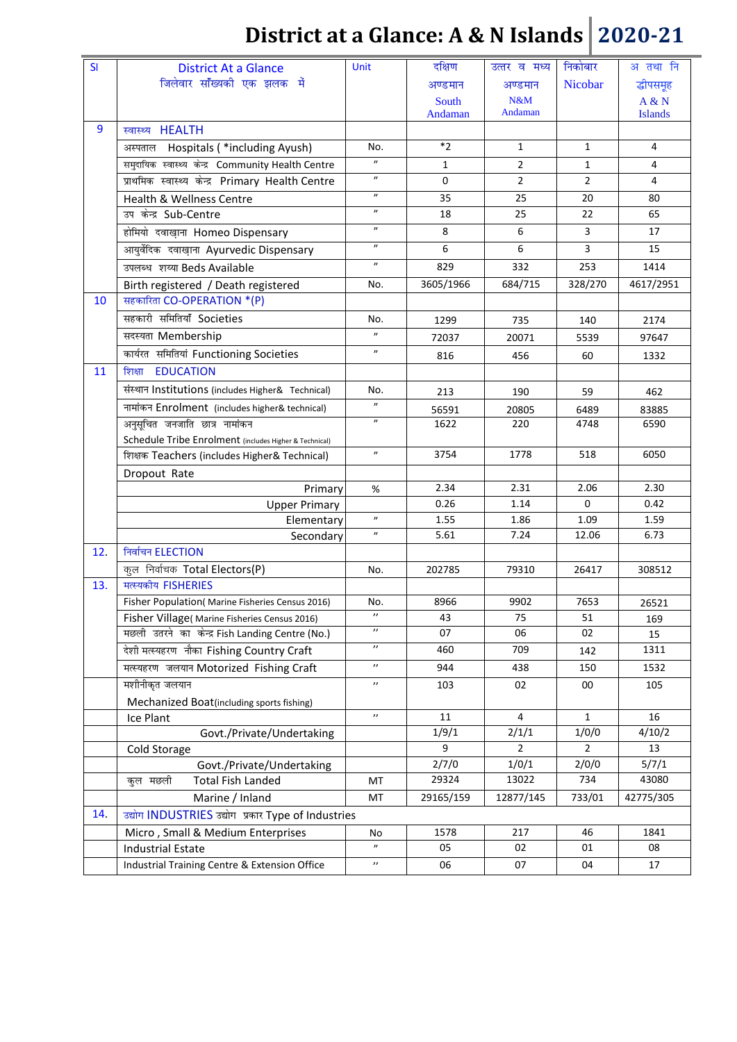| SI  | <b>District At a Glance</b>                            | <b>Unit</b>                                                                                                   | दक्षिण    | उत्तर व मध्य   | निकोबार        | अ तथा नि       |
|-----|--------------------------------------------------------|---------------------------------------------------------------------------------------------------------------|-----------|----------------|----------------|----------------|
|     | जिलेवार सॉंख्यकी एक झलक में                            |                                                                                                               | अण्डमान   | अण्डमान        | Nicobar        | द्धीपसमूह      |
|     |                                                        |                                                                                                               | South     | N&M            |                | A & N          |
|     |                                                        |                                                                                                               | Andaman   | Andaman        |                | <b>Islands</b> |
| 9   | स्वास्थ्य HEALTH                                       |                                                                                                               |           |                |                |                |
|     | Hospitals ( *including Ayush)<br>अस्पताल               | No.                                                                                                           | $*_{2}$   | 1              | 1              | 4              |
|     | समुदायिक स्वास्थ्य केन्द्र Community Health Centre     | $^{\prime\prime}$                                                                                             | 1         | $\overline{2}$ | $\mathbf{1}$   | 4              |
|     | प्राथमिक स्वास्थ्य केन्द्र Primary Health Centre       | $\boldsymbol{\prime\prime}$                                                                                   | $\Omega$  | $\overline{2}$ | $\overline{2}$ | 4              |
|     | Health & Wellness Centre                               | $^{\prime\prime}$                                                                                             | 35        | 25             | 20             | 80             |
|     | उप केन्द्र Sub-Centre                                  | $\boldsymbol{\prime\prime}$                                                                                   | 18        | 25             | 22             | 65             |
|     | होमियो दवाख़ाना Homeo Dispensary                       | $\boldsymbol{\eta}$                                                                                           | 8         | 6              | 3              | 17             |
|     | आयुर्वेदिक दवाख़ाना Ayurvedic Dispensary               | $\boldsymbol{\eta}$                                                                                           | 6         | 6              | 3              | 15             |
|     | उपलब्ध शय्या Beds Available                            | $\boldsymbol{\prime\prime}$                                                                                   | 829       | 332            | 253            | 1414           |
|     | Birth registered / Death registered                    | No.                                                                                                           | 3605/1966 | 684/715        | 328/270        | 4617/2951      |
| 10  | सहकारिता CO-OPERATION *(P)                             |                                                                                                               |           |                |                |                |
|     | सहकारी समितियाँ Societies                              | No.                                                                                                           | 1299      | 735            | 140            | 2174           |
|     | सदस्यता Membership                                     | $\boldsymbol{\prime\prime}$                                                                                   | 72037     | 20071          | 5539           | 97647          |
|     | कार्यरत समितियां Functioning Societies                 | $\boldsymbol{\prime\prime}$                                                                                   | 816       | 456            | 60             | 1332           |
| 11  | <b>EDUCATION</b><br>शिक्षा                             |                                                                                                               |           |                |                |                |
|     | संस्थान Institutions (includes Higher& Technical)      | No.                                                                                                           |           |                |                |                |
|     |                                                        | $\mathcal{L}^{\prime}(\mathcal{A})=\mathcal{L}^{\prime}(\mathcal{A})\otimes\mathcal{L}^{\prime}(\mathcal{A})$ | 213       | 190            | 59             | 462            |
|     | नामांकन Enrolment (includes higher& technical)         | $^{\prime\prime}$                                                                                             | 56591     | 20805          | 6489           | 83885          |
|     | अनुसूचित जनजाति छात्र नामांकन                          |                                                                                                               | 1622      | 220            | 4748           | 6590           |
|     | Schedule Tribe Enrolment (includes Higher & Technical) | $^{\prime\prime}$                                                                                             | 3754      | 1778           | 518            | 6050           |
|     | ফিংমক Teachers (includes Higher& Technical)            |                                                                                                               |           |                |                |                |
|     | Dropout Rate<br>Primary                                | %                                                                                                             | 2.34      | 2.31           | 2.06           | 2.30           |
|     | <b>Upper Primary</b>                                   |                                                                                                               | 0.26      | 1.14           | $\mathbf 0$    | 0.42           |
|     | Elementary                                             | $\boldsymbol{\prime\prime}$                                                                                   | 1.55      | 1.86           | 1.09           | 1.59           |
|     | Secondary                                              | $^{\prime\prime}$                                                                                             | 5.61      | 7.24           | 12.06          | 6.73           |
| 12. | निर्वाचन ELECTION                                      |                                                                                                               |           |                |                |                |
|     | कूल निर्वाचक Total Electors(P)                         | No.                                                                                                           | 202785    | 79310          | 26417          | 308512         |
| 13. | मत्स्यकीय FISHERIES                                    |                                                                                                               |           |                |                |                |
|     | Fisher Population( Marine Fisheries Census 2016)       | No.                                                                                                           | 8966      | 9902           | 7653           | 26521          |
|     | Fisher Village( Marine Fisheries Census 2016)          | $\prime\prime$                                                                                                | 43        | 75             | 51             | 169            |
|     | मछली उतरने का केन्द्र Fish Landing Centre (No.)        | $^{\prime\prime}$                                                                                             | 07        | 06             | 02             | 15             |
|     | देशी मत्स्यहरण नौका Fishing Country Craft              | $\prime\prime$                                                                                                | 460       | 709            | 142            | 1311           |
|     | मत्स्यहरण जलयान Motorized Fishing Craft                | $\prime\prime$                                                                                                | 944       | 438            | 150            | 1532           |
|     | मशीनीकृत जलयान                                         | $\prime\prime$                                                                                                | 103       | 02             | 00             | 105            |
|     | Mechanized Boat(including sports fishing)              |                                                                                                               |           |                |                |                |
|     | Ice Plant                                              | $^{\prime\prime}$                                                                                             | 11        | 4              | $\mathbf{1}$   | 16             |
|     | Govt./Private/Undertaking                              |                                                                                                               | 1/9/1     | 2/1/1          | 1/0/0          | 4/10/2         |
|     | Cold Storage                                           |                                                                                                               | 9         | $\overline{2}$ | $\overline{2}$ | 13             |
|     | Govt./Private/Undertaking                              |                                                                                                               | 2/7/0     | 1/0/1          | 2/0/0          | 5/7/1          |
|     | कुल मछली<br><b>Total Fish Landed</b>                   | МT                                                                                                            | 29324     | 13022          | 734            | 43080          |
|     | Marine / Inland                                        | MT                                                                                                            | 29165/159 | 12877/145      | 733/01         | 42775/305      |
| 14. | उद्योग INDUSTRIES उद्योग प्रकार Type of Industries     |                                                                                                               |           |                |                |                |
|     | Micro, Small & Medium Enterprises                      | No                                                                                                            | 1578      | 217            | 46             | 1841           |
|     | <b>Industrial Estate</b>                               | $\boldsymbol{\prime\prime}$                                                                                   | 05        | 02             | 01             | 08             |
|     | Industrial Training Centre & Extension Office          | $\boldsymbol{\prime}$                                                                                         | 06        | 07             | 04             | 17             |